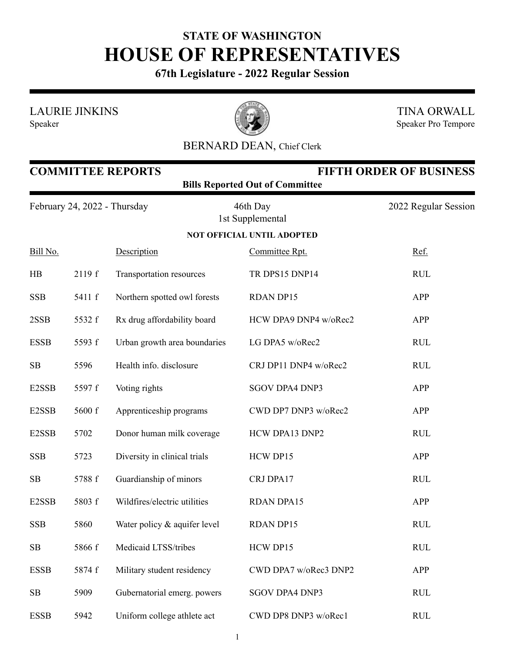## **STATE OF WASHINGTON HOUSE OF REPRESENTATIVES**

**67th Legislature - 2022 Regular Session**

LAURIE JINKINS





TINA ORWALL Speaker Pro Tempore

## BERNARD DEAN, Chief Clerk

| <b>COMMITTEE REPORTS</b><br><b>FIFTH ORDER OF BUSINESS</b><br><b>Bills Reported Out of Committee</b> |        |                              |                                   |                      |
|------------------------------------------------------------------------------------------------------|--------|------------------------------|-----------------------------------|----------------------|
| February 24, 2022 - Thursday                                                                         |        |                              | 46th Day<br>1st Supplemental      | 2022 Regular Session |
|                                                                                                      |        |                              | <b>NOT OFFICIAL UNTIL ADOPTED</b> |                      |
| Bill No.                                                                                             |        | Description                  | Committee Rpt.                    | Ref.                 |
| HB                                                                                                   | 2119 f | Transportation resources     | TR DPS15 DNP14                    | <b>RUL</b>           |
| <b>SSB</b>                                                                                           | 5411 f | Northern spotted owl forests | <b>RDAN DP15</b>                  | APP                  |
| 2SSB                                                                                                 | 5532 f | Rx drug affordability board  | HCW DPA9 DNP4 w/oRec2             | <b>APP</b>           |
| <b>ESSB</b>                                                                                          | 5593 f | Urban growth area boundaries | LG DPA5 w/oRec2                   | <b>RUL</b>           |
| SB                                                                                                   | 5596   | Health info. disclosure      | CRJ DP11 DNP4 w/oRec2             | <b>RUL</b>           |
| E2SSB                                                                                                | 5597 f | Voting rights                | <b>SGOV DPA4 DNP3</b>             | <b>APP</b>           |
| E2SSB                                                                                                | 5600 f | Apprenticeship programs      | CWD DP7 DNP3 w/oRec2              | <b>APP</b>           |
| E2SSB                                                                                                | 5702   | Donor human milk coverage    | HCW DPA13 DNP2                    | <b>RUL</b>           |
| <b>SSB</b>                                                                                           | 5723   | Diversity in clinical trials | HCW DP15                          | <b>APP</b>           |
| SB                                                                                                   | 5788 f | Guardianship of minors       | CRJ DPA17                         | <b>RUL</b>           |
| E2SSB                                                                                                | 5803 f | Wildfires/electric utilities | <b>RDAN DPA15</b>                 | APP                  |
| <b>SSB</b>                                                                                           | 5860   | Water policy & aquifer level | <b>RDAN DP15</b>                  | <b>RUL</b>           |
| SB                                                                                                   | 5866 f | Medicaid LTSS/tribes         | HCW DP15                          | <b>RUL</b>           |
| <b>ESSB</b>                                                                                          | 5874 f | Military student residency   | CWD DPA7 w/oRec3 DNP2             | APP                  |
| SB                                                                                                   | 5909   | Gubernatorial emerg. powers  | <b>SGOV DPA4 DNP3</b>             | <b>RUL</b>           |
| <b>ESSB</b>                                                                                          | 5942   | Uniform college athlete act  | CWD DP8 DNP3 w/oRec1              | <b>RUL</b>           |